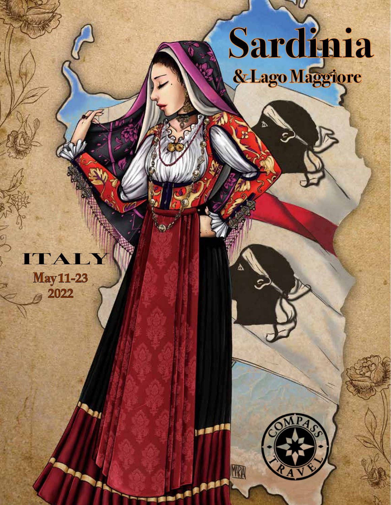

Δ

WA

'U

# **May 11-23 2022 ITALY**

 $\sigma$ 

貢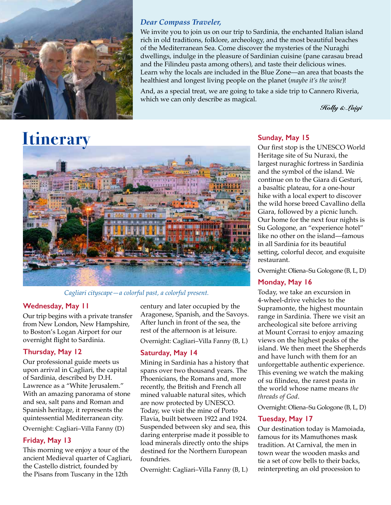

#### *Dear Compass Traveler,*

We invite you to join us on our trip to Sardinia, the enchanted Italian island rich in old traditions, folklore, archeology, and the most beautiful beaches of the Mediterranean Sea. Come discover the mysteries of the Nuraghi dwellings, indulge in the pleasure of Sardinian cuisine (pane carasau bread and the Filindeu pasta among others), and taste their delicious wines. Learn why the locals are included in the Blue Zone—an area that boasts the healthiest and longest living people on the planet (*maybe it's the wine*)!

And, as a special treat, we are going to take a side trip to Cannero Riveria, which we can only describe as magical.

*Holly & Luigi*

# **Itinerary**



*Cagliari cityscape—a colorful past, a colorful present.*

#### **Wednesday, May 11**

Our trip begins with a private transfer from New London, New Hampshire, to Boston's Logan Airport for our overnight flight to Sardinia.

#### **Thursday, May 12**

Our professional guide meets us upon arrival in Cagliari, the capital of Sardinia, described by D.H. Lawrence as a "White Jerusalem." With an amazing panorama of stone and sea, salt pans and Roman and Spanish heritage, it represents the quintessential Mediterranean city.

Overnight: Cagliari–Villa Fanny (D)

#### **Friday, May 13**

This morning we enjoy a tour of the ancient Medieval quarter of Cagliari, the Castello district, founded by the Pisans from Tuscany in the 12th

century and later occupied by the Aragonese, Spanish, and the Savoys. After lunch in front of the sea, the rest of the afternoon is at leisure.

Overnight: Cagliari–Villa Fanny (B, L)

#### **Saturday, May 14**

Mining in Sardinia has a history that spans over two thousand years. The Phoenicians, the Romans and, more recently, the British and French all mined valuable natural sites, which are now protected by UNESCO. Today, we visit the mine of Porto Flavia, built between 1922 and 1924. Suspended between sky and sea, this daring enterprise made it possible to load minerals directly onto the ships destined for the Northern European foundries.

Overnight: Cagliari–Villa Fanny (B, L)

#### **Sunday, May 15**

Our first stop is the UNESCO World Heritage site of Su Nuraxi, the largest nuraghic fortress in Sardinia and the symbol of the island. We continue on to the Giara di Gesturi, a basaltic plateau, for a one-hour hike with a local expert to discover the wild horse breed Cavallino della Giara, followed by a picnic lunch. Our home for the next four nights is Su Gologone, an "experience hotel" like no other on the island—famous in all Sardinia for its beautiful setting, colorful decor, and exquisite restaurant.

Overnight: Oliena–Su Gologone (B, L, D)

#### **Monday, May 16**

Today, we take an excursion in 4-wheel-drive vehicles to the Supramonte, the highest mountain range in Sardinia. There we visit an archeological site before arriving at Mount Corrasi to enjoy amazing views on the highest peaks of the island. We then meet the Shepherds and have lunch with them for an unforgettable authentic experience. This evening we watch the making of su filindeu, the rarest pasta in the world whose name means *the threads of God*.

Overnight: Oliena–Su Gologone (B, L, D)

#### **Tuesday, May 17**

Our destination today is Mamoiada, famous for its Mamuthones mask tradition. At Carnival, the men in town wear the wooden masks and tie a set of cow bells to their backs, reinterpreting an old procession to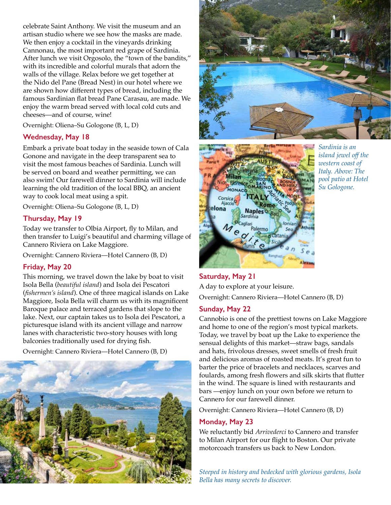celebrate Saint Anthony. We visit the museum and an artisan studio where we see how the masks are made. We then enjoy a cocktail in the vineyards drinking Cannonau, the most important red grape of Sardinia. After lunch we visit Orgosolo, the "town of the bandits," with its incredible and colorful murals that adorn the walls of the village. Relax before we get together at the Nido del Pane (Bread Nest) in our hotel where we are shown how different types of bread, including the famous Sardinian flat bread Pane Carasau, are made. We enjoy the warm bread served with local cold cuts and cheeses—and of course, wine!

Overnight: Oliena–Su Gologone (B, L, D)

#### **Wednesday, May 18**

Embark a private boat today in the seaside town of Cala Gonone and navigate in the deep transparent sea to visit the most famous beaches of Sardinia. Lunch will be served on board and weather permitting, we can also swim! Our farewell dinner to Sardinia will include learning the old tradition of the local BBQ, an ancient way to cook local meat using a spit.

Overnight: Oliena–Su Gologone (B, L, D)

#### **Thursday, May 19**

Today we transfer to Olbia Airport, fly to Milan, and then transfer to Luigi's beautiful and charming village of Cannero Riviera on Lake Maggiore.

Overnight: Cannero Riviera—Hotel Cannero (B, D)

#### **Friday, May 20**

This morning, we travel down the lake by boat to visit Isola Bella (*beautiful island*) and Isola dei Pescatori (*fishermen's island*). One of three magical islands on Lake Maggiore, Isola Bella will charm us with its magnificent Baroque palace and terraced gardens that slope to the lake. Next, our captain takes us to Isola dei Pescatori, a picturesque island with its ancient village and narrow lanes with characteristic two-story houses with long balconies traditionally used for drying fish.

Overnight: Cannero Riviera—Hotel Cannero (B, D)







*Sardinia is an island jewel off the western coast of Italy. Above: The pool patio at Hotel Su Gologone.*

## **Saturday, May 21** A day to explore at your leisure.

Overnight: Cannero Riviera—Hotel Cannero (B, D)

#### **Sunday, May 22**

Cannobio is one of the prettiest towns on Lake Maggiore and home to one of the region's most typical markets. Today, we travel by boat up the Lake to experience the sensual delights of this market—straw bags, sandals and hats, frivolous dresses, sweet smells of fresh fruit and delicious aromas of roasted meats. It's great fun to barter the price of bracelets and necklaces, scarves and foulards, among fresh flowers and silk skirts that flutter in the wind. The square is lined with restaurants and bars —enjoy lunch on your own before we return to Cannero for our farewell dinner.

Overnight: Cannero Riviera—Hotel Cannero (B, D)

#### **Monday, May 23**

We reluctantly bid *Arrivederci* to Cannero and transfer to Milan Airport for our flight to Boston. Our private motorcoach transfers us back to New London.

*Steeped in history and bedecked with glorious gardens, Isola Bella has many secrets to discover.*